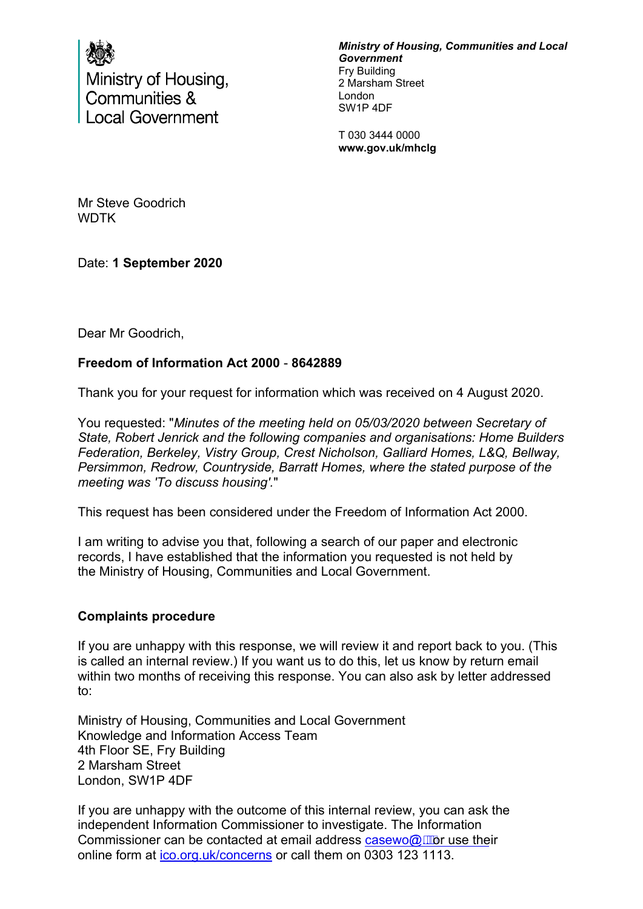

Ministry of Housing, Communities & **Local Government** 

*Ministry of Housing, Communities and Local Government* Fry Building 2 Marsham Street London SW1P 4DF

T 030 3444 0000 **www.gov.uk/mhclg**

Mr Steve Goodrich WDTK

Date: **1 September 2020**

Dear Mr Goodrich,

## **Freedom of Information Act 2000** - **8642889**

Thank you for your request for information which was received on 4 August 2020.

You requested: "*Minutes of the meeting held on 05/03/2020 between Secretary of State, Robert Jenrick and the following companies and organisations: Home Builders Federation, Berkeley, Vistry Group, Crest Nicholson, Galliard Homes, L&Q, Bellway, Persimmon, Redrow, Countryside, Barratt Homes, where the stated purpose of the meeting was 'To discuss housing'.*"

This request has been considered under the Freedom of Information Act 2000.

I am writing to advise you that, following a search of our paper and electronic records, I have established that the information you requested is not held by the Ministry of Housing, Communities and Local Government.

## **Complaints procedure**

If you are unhappy with this response, we will review it and report back to you. (This is called an internal review.) If you want us to do this, let us know by return email within two months of receiving this response. You can also ask by letter addressed to:

Ministry of Housing, Communities and Local Government Knowledge and Information Access Team 4th Floor SE, Fry Building 2 Marsham Street London, SW1P 4DF

If you are unhappy with the outcome of this internal review, you can ask the independent Information Commissioner to investigate. The Information Commissioner can be contacted at email address  $casewo@x$ , wor use their online form at [ico.org.uk/concerns](https://ico.org.uk/concerns) or call them on 0303 123 1113.